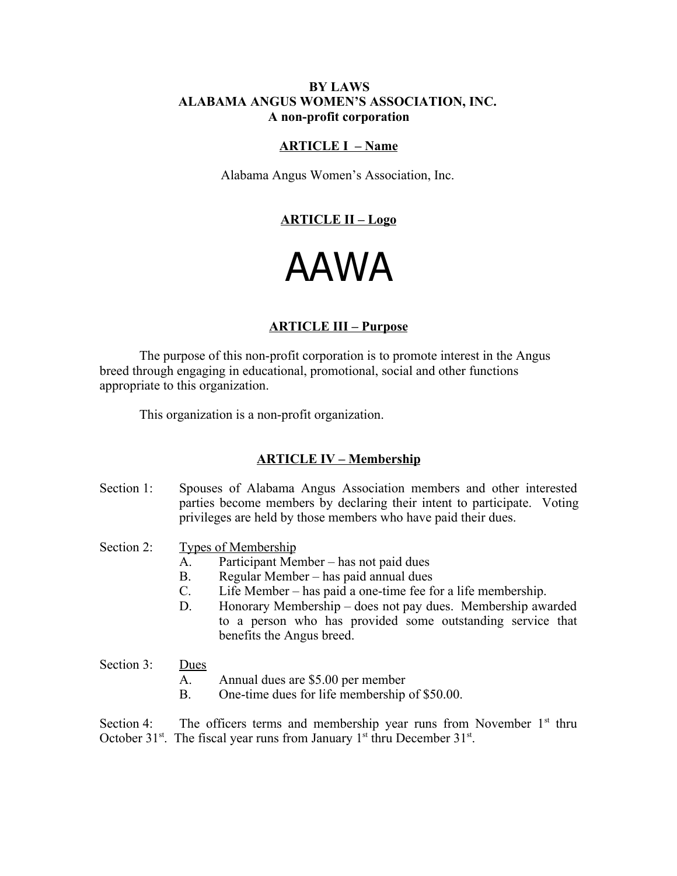## **BY LAWS ALABAMA ANGUS WOMEN'S ASSOCIATION, INC. A non-profit corporation**

#### **ARTICLE I – Name**

Alabama Angus Women's Association, Inc.

# **ARTICLE II – Logo**

# AAWA

#### **ARTICLE III – Purpose**

The purpose of this non-profit corporation is to promote interest in the Angus breed through engaging in educational, promotional, social and other functions appropriate to this organization.

This organization is a non-profit organization.

#### **ARTICLE IV – Membership**

Section 1: Spouses of Alabama Angus Association members and other interested parties become members by declaring their intent to participate. Voting privileges are held by those members who have paid their dues.

Section 2: Types of Membership

- A. Participant Member has not paid dues
- B. Regular Member has paid annual dues
- C. Life Member has paid a one-time fee for a life membership.
- D. Honorary Membership does not pay dues. Membership awarded to a person who has provided some outstanding service that benefits the Angus breed.
- Section 3: Dues
	- A. Annual dues are \$5.00 per member
	- B. One-time dues for life membership of \$50.00.

Section 4: The officers terms and membership year runs from November  $1<sup>st</sup>$  thru October 31<sup>st</sup>. The fiscal year runs from January 1<sup>st</sup> thru December 31<sup>st</sup>.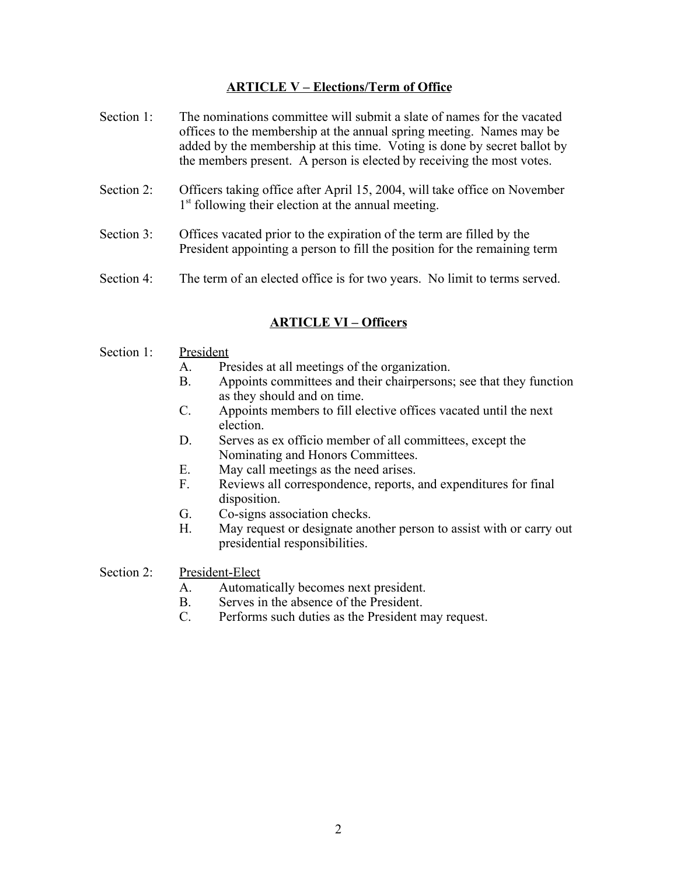# **ARTICLE V – Elections/Term of Office**

- Section 1: The nominations committee will submit a slate of names for the vacated offices to the membership at the annual spring meeting. Names may be added by the membership at this time. Voting is done by secret ballot by the members present. A person is elected by receiving the most votes.
- Section 2: Officers taking office after April 15, 2004, will take office on November 1<sup>st</sup> following their election at the annual meeting.
- Section 3: Offices vacated prior to the expiration of the term are filled by the President appointing a person to fill the position for the remaining term
- Section 4: The term of an elected office is for two years. No limit to terms served.

# **ARTICLE VI – Officers**

#### Section 1: President

- A. Presides at all meetings of the organization.
- B. Appoints committees and their chairpersons; see that they function as they should and on time.
- C. Appoints members to fill elective offices vacated until the next election.
- D. Serves as ex officio member of all committees, except the Nominating and Honors Committees.
- E. May call meetings as the need arises.
- F. Reviews all correspondence, reports, and expenditures for final disposition.
- G. Co-signs association checks.
- H. May request or designate another person to assist with or carry out presidential responsibilities.

Section 2: President-Elect

- A. Automatically becomes next president.
- B. Serves in the absence of the President.
- C. Performs such duties as the President may request.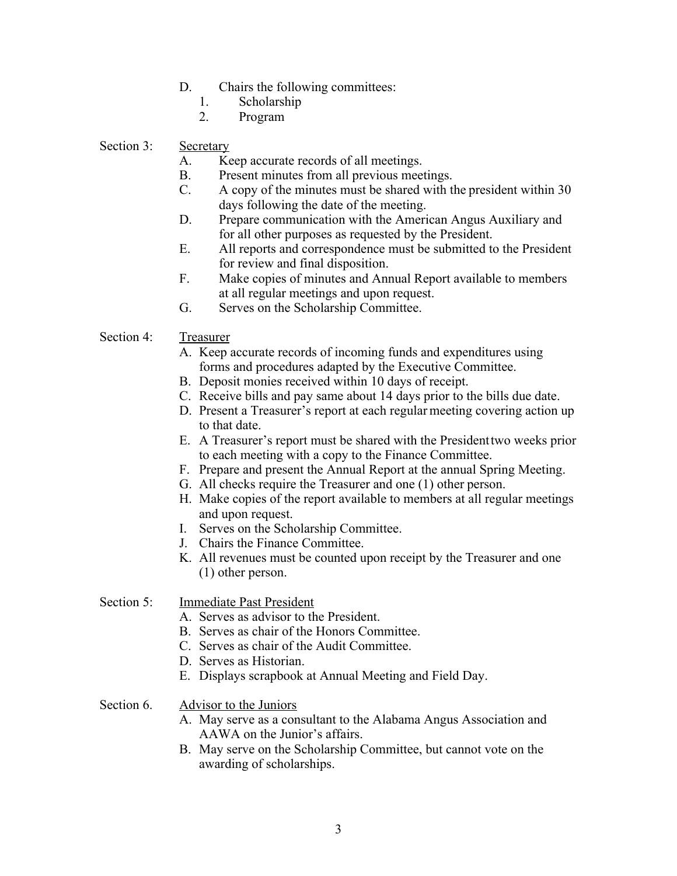- D. Chairs the following committees:
	- 1. Scholarship
	- 2. Program

# Section 3: Secretary

- A. Keep accurate records of all meetings.
- B. Present minutes from all previous meetings.
- C. A copy of the minutes must be shared with the president within 30 days following the date of the meeting.
- D. Prepare communication with the American Angus Auxiliary and for all other purposes as requested by the President.
- E. All reports and correspondence must be submitted to the President for review and final disposition.
- F. Make copies of minutes and Annual Report available to members at all regular meetings and upon request.
- G. Serves on the Scholarship Committee.

## Section 4: Treasurer

- A. Keep accurate records of incoming funds and expenditures using forms and procedures adapted by the Executive Committee.
- B. Deposit monies received within 10 days of receipt.
- C. Receive bills and pay same about 14 days prior to the bills due date.
- D. Present a Treasurer's report at each regular meeting covering action up to that date.
- E. A Treasurer's report must be shared with the President two weeks prior to each meeting with a copy to the Finance Committee.
- F. Prepare and present the Annual Report at the annual Spring Meeting.
- G. All checks require the Treasurer and one (1) other person.
- H. Make copies of the report available to members at all regular meetings and upon request.
- I. Serves on the Scholarship Committee.
- J. Chairs the Finance Committee.
- K. All revenues must be counted upon receipt by the Treasurer and one (1) other person.

## Section 5: **Immediate Past President**

- A. Serves as advisor to the President.
- B. Serves as chair of the Honors Committee.
- C. Serves as chair of the Audit Committee.
- D. Serves as Historian.
- E. Displays scrapbook at Annual Meeting and Field Day.

# Section 6. Advisor to the Juniors

- A. May serve as a consultant to the Alabama Angus Association and AAWA on the Junior's affairs.
- B. May serve on the Scholarship Committee, but cannot vote on the awarding of scholarships.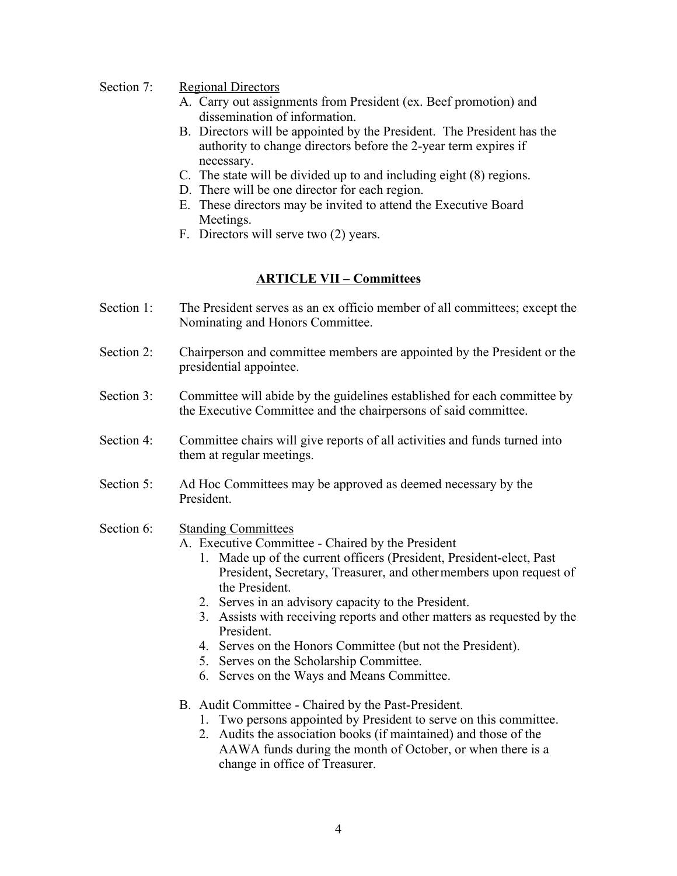## Section 7: Regional Directors

- A. Carry out assignments from President (ex. Beef promotion) and dissemination of information.
- B. Directors will be appointed by the President. The President has the authority to change directors before the 2-year term expires if necessary.
- C. The state will be divided up to and including eight (8) regions.
- D. There will be one director for each region.
- E. These directors may be invited to attend the Executive Board Meetings.
- F. Directors will serve two (2) years.

#### **ARTICLE VII – Committees**

- Section 1: The President serves as an ex officio member of all committees; except the Nominating and Honors Committee.
- Section 2: Chairperson and committee members are appointed by the President or the presidential appointee.
- Section 3: Committee will abide by the guidelines established for each committee by the Executive Committee and the chairpersons of said committee.
- Section 4: Committee chairs will give reports of all activities and funds turned into them at regular meetings.
- Section 5: Ad Hoc Committees may be approved as deemed necessary by the President.

## Section 6: Standing Committees

- A. Executive Committee Chaired by the President
	- 1. Made up of the current officers (President, President-elect, Past President, Secretary, Treasurer, and other members upon request of the President.
	- 2. Serves in an advisory capacity to the President.
	- 3. Assists with receiving reports and other matters as requested by the President.
	- 4. Serves on the Honors Committee (but not the President).
	- 5. Serves on the Scholarship Committee.
	- 6. Serves on the Ways and Means Committee.
- B. Audit Committee Chaired by the Past-President.
	- 1. Two persons appointed by President to serve on this committee.
	- 2. Audits the association books (if maintained) and those of the AAWA funds during the month of October, or when there is a change in office of Treasurer.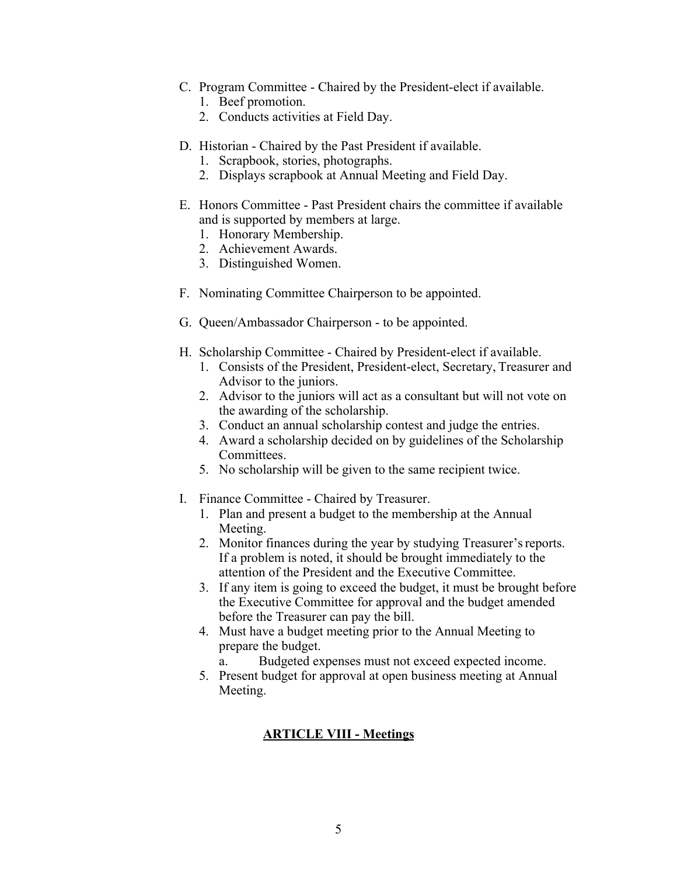- C. Program Committee Chaired by the President-elect if available.
	- 1. Beef promotion.
	- 2. Conducts activities at Field Day.
- D. Historian Chaired by the Past President if available.
	- 1. Scrapbook, stories, photographs.
	- 2. Displays scrapbook at Annual Meeting and Field Day.
- E. Honors Committee Past President chairs the committee if available and is supported by members at large.
	- 1. Honorary Membership.
	- 2. Achievement Awards.
	- 3. Distinguished Women.
- F. Nominating Committee Chairperson to be appointed.
- G. Queen/Ambassador Chairperson to be appointed.
- H. Scholarship Committee Chaired by President-elect if available.
	- 1. Consists of the President, President-elect, Secretary, Treasurer and Advisor to the juniors.
	- 2. Advisor to the juniors will act as a consultant but will not vote on the awarding of the scholarship.
	- 3. Conduct an annual scholarship contest and judge the entries.
	- 4. Award a scholarship decided on by guidelines of the Scholarship Committees.
	- 5. No scholarship will be given to the same recipient twice.
- I. Finance Committee Chaired by Treasurer.
	- 1. Plan and present a budget to the membership at the Annual Meeting.
	- 2. Monitor finances during the year by studying Treasurer's reports. If a problem is noted, it should be brought immediately to the attention of the President and the Executive Committee.
	- 3. If any item is going to exceed the budget, it must be brought before the Executive Committee for approval and the budget amended before the Treasurer can pay the bill.
	- 4. Must have a budget meeting prior to the Annual Meeting to prepare the budget.
		- a. Budgeted expenses must not exceed expected income.
	- 5. Present budget for approval at open business meeting at Annual Meeting.

## **ARTICLE VIII - Meetings**